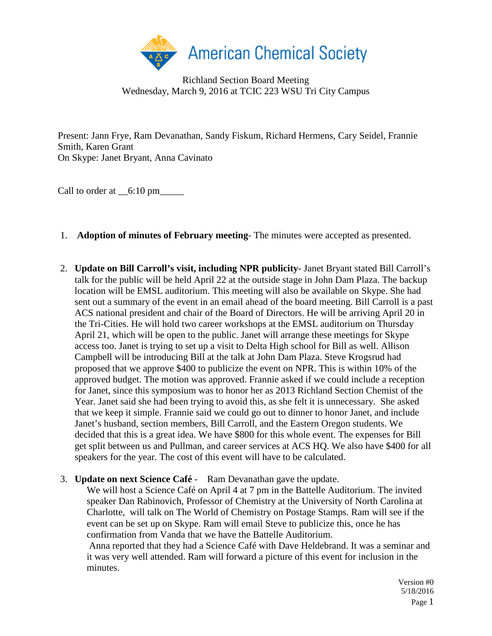

Richland Section Board Meeting Wednesday, March 9, 2016 at TCIC 223 WSU Tri City Campus

Present: Jann Frye, Ram Devanathan, Sandy Fiskum, Richard Hermens, Cary Seidel, Frannie Smith, Karen Grant On Skype: Janet Bryant, Anna Cavinato

Call to order at  $\_6:10 \text{ pm}$ 

- 1. **Adoption of minutes of February meeting** The minutes were accepted as presented.
- 2. **Update on Bill Carroll's visit, including NPR publicity** Janet Bryant stated Bill Carroll's talk for the public will be held April 22 at the outside stage in John Dam Plaza. The backup location will be EMSL auditorium. This meeting will also be available on Skype. She had sent out a summary of the event in an email ahead of the board meeting. Bill Carroll is a past ACS national president and chair of the Board of Directors. He will be arriving April 20 in the Tri-Cities. He will hold two career workshops at the EMSL auditorium on Thursday April 21, which will be open to the public. Janet will arrange these meetings for Skype access too. Janet is trying to set up a visit to Delta High school for Bill as well. Allison Campbell will be introducing Bill at the talk at John Dam Plaza. Steve Krogsrud had proposed that we approve \$400 to publicize the event on NPR. This is within 10% of the approved budget. The motion was approved. Frannie asked if we could include a reception for Janet, since this symposium was to honor her as 2013 Richland Section Chemist of the Year. Janet said she had been trying to avoid this, as she felt it is unnecessary. She asked that we keep it simple. Frannie said we could go out to dinner to honor Janet, and include Janet's husband, section members, Bill Carroll, and the Eastern Oregon students. We decided that this is a great idea. We have \$800 for this whole event. The expenses for Bill get split between us and Pullman, and career services at ACS HQ. We also have \$400 for all speakers for the year. The cost of this event will have to be calculated.

## 3. **Update on next Science Café** - Ram Devanathan gave the update.

We will host a Science Café on April 4 at 7 pm in the Battelle Auditorium. The invited speaker Dan Rabinovich, Professor of Chemistry at the University of North Carolina at Charlotte, will talk on The World of Chemistry on Postage Stamps. Ram will see if the event can be set up on Skype. Ram will email Steve to publicize this, once he has confirmation from Vanda that we have the Battelle Auditorium.

Anna reported that they had a Science Café with Dave Heldebrand. It was a seminar and it was very well attended. Ram will forward a picture of this event for inclusion in the minutes.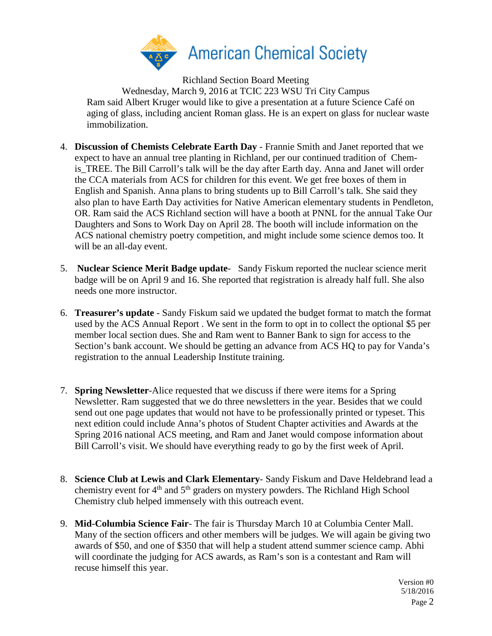

Richland Section Board Meeting Wednesday, March 9, 2016 at TCIC 223 WSU Tri City Campus Ram said Albert Kruger would like to give a presentation at a future Science Café on aging of glass, including ancient Roman glass. He is an expert on glass for nuclear waste immobilization.

- 4. **Discussion of Chemists Celebrate Earth Day** Frannie Smith and Janet reported that we expect to have an annual tree planting in Richland, per our continued tradition of Chemis TREE. The Bill Carroll's talk will be the day after Earth day. Anna and Janet will order the CCA materials from ACS for children for this event. We get free boxes of them in English and Spanish. Anna plans to bring students up to Bill Carroll's talk. She said they also plan to have Earth Day activities for Native American elementary students in Pendleton, OR. Ram said the ACS Richland section will have a booth at PNNL for the annual Take Our Daughters and Sons to Work Day on April 28. The booth will include information on the ACS national chemistry poetry competition, and might include some science demos too. It will be an all-day event.
- 5. **Nuclear Science Merit Badge update** Sandy Fiskum reported the nuclear science merit badge will be on April 9 and 16. She reported that registration is already half full. She also needs one more instructor.
- 6. **Treasurer's update** Sandy Fiskum said we updated the budget format to match the format used by the ACS Annual Report . We sent in the form to opt in to collect the optional \$5 per member local section dues. She and Ram went to Banner Bank to sign for access to the Section's bank account. We should be getting an advance from ACS HQ to pay for Vanda's registration to the annual Leadership Institute training.
- 7. **Spring Newsletter**-Alice requested that we discuss if there were items for a Spring Newsletter. Ram suggested that we do three newsletters in the year. Besides that we could send out one page updates that would not have to be professionally printed or typeset. This next edition could include Anna's photos of Student Chapter activities and Awards at the Spring 2016 national ACS meeting, and Ram and Janet would compose information about Bill Carroll's visit. We should have everything ready to go by the first week of April.
- 8. **Science Club at Lewis and Clark Elementary** Sandy Fiskum and Dave Heldebrand lead a chemistry event for 4<sup>th</sup> and 5<sup>th</sup> graders on mystery powders. The Richland High School Chemistry club helped immensely with this outreach event.
- 9. **Mid-Columbia Science Fair** The fair is Thursday March 10 at Columbia Center Mall. Many of the section officers and other members will be judges. We will again be giving two awards of \$50, and one of \$350 that will help a student attend summer science camp. Abhi will coordinate the judging for ACS awards, as Ram's son is a contestant and Ram will recuse himself this year.